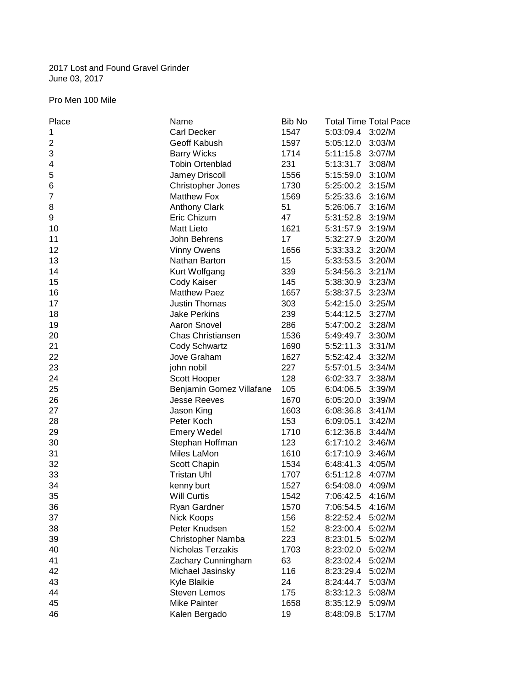# 2017 Lost and Found Gravel Grinder June 03, 2017

# Pro Men 100 Mile

| Place                   | Name                     | Bib No |                  | <b>Total Time Total Pace</b> |
|-------------------------|--------------------------|--------|------------------|------------------------------|
| 1                       | <b>Carl Decker</b>       | 1547   | 5:03:09.4        | 3:02/M                       |
| $\overline{\mathbf{c}}$ | Geoff Kabush             | 1597   | 5:05:12.0        | 3:03/M                       |
| 3                       | <b>Barry Wicks</b>       | 1714   | 5:11:15.8        | 3:07/M                       |
| 4                       | <b>Tobin Ortenblad</b>   | 231    | 5:13:31.7        | 3:08/M                       |
| 5                       | Jamey Driscoll           | 1556   | 5:15:59.0        | 3:10/M                       |
| 6                       | Christopher Jones        | 1730   | 5:25:00.2        | 3:15/M                       |
| 7                       | <b>Matthew Fox</b>       | 1569   | 5:25:33.6        | 3:16/M                       |
| 8                       | <b>Anthony Clark</b>     | 51     | 5:26:06.7        | 3:16/M                       |
| 9                       | Eric Chizum              | 47     | 5:31:52.8        | 3:19/M                       |
| 10                      | <b>Matt Lieto</b>        | 1621   | 5:31:57.9 3:19/M |                              |
| 11                      | John Behrens             | 17     | 5:32:27.9 3:20/M |                              |
| 12                      | <b>Vinny Owens</b>       | 1656   | 5:33:33.2 3:20/M |                              |
| 13                      | Nathan Barton            | 15     | 5:33:53.5        | 3:20/M                       |
| 14                      | Kurt Wolfgang            | 339    | 5:34:56.3        | 3:21/M                       |
| 15                      | Cody Kaiser              | 145    | 5:38:30.9        | 3:23/M                       |
| 16                      | <b>Matthew Paez</b>      | 1657   | 5:38:37.5        | 3:23/M                       |
| 17                      | <b>Justin Thomas</b>     | 303    | 5:42:15.0        | 3:25/M                       |
| 18                      | <b>Jake Perkins</b>      | 239    | 5:44:12.5        | 3:27/M                       |
| 19                      | Aaron Snovel             | 286    | 5:47:00.2        | 3:28/M                       |
| 20                      | Chas Christiansen        | 1536   | 5:49:49.7        | 3:30/M                       |
| 21                      | Cody Schwartz            | 1690   | 5:52:11.3        | 3:31/M                       |
| 22                      | Jove Graham              | 1627   | 5:52:42.4        | 3:32/M                       |
| 23                      | john nobil               | 227    | 5:57:01.5        | 3:34/M                       |
| 24                      | Scott Hooper             | 128    | 6:02:33.7        | 3:38/M                       |
| 25                      | Benjamin Gomez Villafane | 105    | 6:04:06.5        | 3:39/M                       |
| 26                      | <b>Jesse Reeves</b>      | 1670   | 6:05:20.0        | 3:39/M                       |
| 27                      | Jason King               | 1603   | 6:08:36.8        | 3:41/M                       |
| 28                      | Peter Koch               | 153    | 6:09:05.1        | 3:42/M                       |
| 29                      | <b>Emery Wedel</b>       | 1710   | 6:12:36.8        | 3:44/M                       |
| 30                      | Stephan Hoffman          | 123    | 6:17:10.2        | 3:46/M                       |
| 31                      | Miles LaMon              | 1610   | 6:17:10.9        | 3:46/M                       |
| 32                      | Scott Chapin             | 1534   | 6:48:41.3        | 4:05/M                       |
| 33                      | <b>Tristan Uhl</b>       | 1707   | 6:51:12.8        | 4:07/M                       |
| 34                      | kenny burt               | 1527   | 6:54:08.0        | 4:09/M                       |
| 35                      | <b>Will Curtis</b>       | 1542   | 7:06:42.5        | 4:16/M                       |
| 36                      | Ryan Gardner             | 1570   | 7:06:54.5        | 4:16/M                       |
| 37                      | Nick Koops               | 156    | 8:22:52.4        | 5:02/M                       |
| 38                      | Peter Knudsen            | 152    | 8:23:00.4        | 5:02/M                       |
| 39                      | Christopher Namba        | 223    | 8:23:01.5        | 5:02/M                       |
| 40                      | Nicholas Terzakis        | 1703   | 8:23:02.0        | 5:02/M                       |
| 41                      | Zachary Cunningham       | 63     | 8:23:02.4        | 5:02/M                       |
| 42                      | Michael Jasinsky         | 116    | 8:23:29.4        | 5:02/M                       |
| 43                      | Kyle Blaikie             | 24     | 8:24:44.7        | 5:03/M                       |
| 44                      | Steven Lemos             | 175    | 8:33:12.3        | 5:08/M                       |
| 45                      | <b>Mike Painter</b>      | 1658   | 8:35:12.9        | 5:09/M                       |
| 46                      | Kalen Bergado            | 19     | 8:48:09.8        | 5:17/M                       |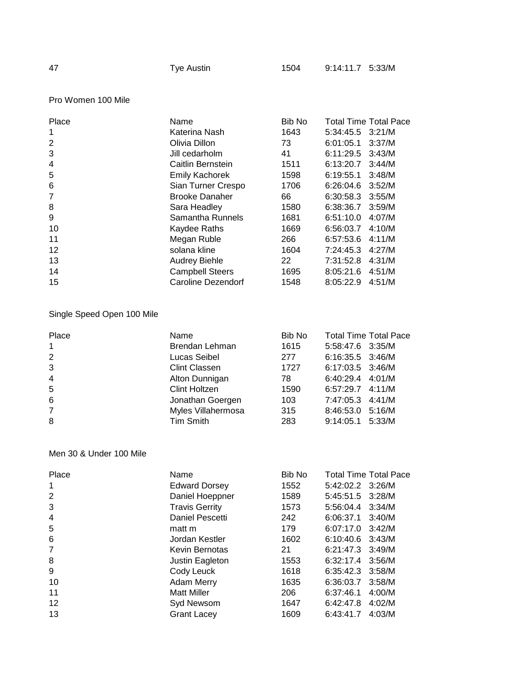# Pro Women 100 Mile

| Place          | Name                   | Bib No          |                  | <b>Total Time Total Pace</b> |
|----------------|------------------------|-----------------|------------------|------------------------------|
| 1              | Katerina Nash          | 1643            | 5:34:45.5 3:21/M |                              |
| 2              | Olivia Dillon          | 73              | 6:01:05.1        | 3:37/M                       |
| 3              | Jill cedarholm         | 41              | 6:11:29.5        | 3:43/M                       |
| $\overline{4}$ | Caitlin Bernstein      | 1511            | 6:13:20.7        | 3:44/M                       |
| 5              | <b>Emily Kachorek</b>  | 1598            | 6:19:55.1        | 3:48/M                       |
| 6              | Sian Turner Crespo     | 1706            | 6:26:04.6        | 3:52/M                       |
| 7              | <b>Brooke Danaher</b>  | 66              | 6:30:58.3        | 3:55/M                       |
| 8              | Sara Headley           | 1580            | 6:38:36.7        | 3:59/M                       |
| 9              | Samantha Runnels       | 1681            | 6:51:10.0        | 4:07/M                       |
| 10             | Kaydee Raths           | 1669            | 6:56:03.7        | 4:10/M                       |
| 11             | Megan Ruble            | 266             | 6:57:53.6        | 4:11/M                       |
| 12             | solana kline           | 1604            | 7:24:45.3        | 4:27/M                       |
| 13             | <b>Audrey Biehle</b>   | 22 <sub>2</sub> | 7:31:52.8        | 4:31/M                       |
| 14             | <b>Campbell Steers</b> | 1695            | 8:05:21.6        | 4:51/M                       |
| 15             | Caroline Dezendorf     | 1548            | 8:05:22.9        | 4:51/M                       |

# Single Speed Open 100 Mile

| Place          | Name                 | Bib No | <b>Total Time Total Pace</b> |
|----------------|----------------------|--------|------------------------------|
| $\mathbf{1}$   | Brendan Lehman       | 1615   | 5:58:47.6 3:35/M             |
| $\overline{2}$ | Lucas Seibel         | 277    | 6:16:35.5 3:46/M             |
| 3              | <b>Clint Classen</b> | 1727   | 6:17:03.5 3:46/M             |
| $\overline{4}$ | Alton Dunnigan       | 78.    | 6:40:29.4 4:01/M             |
| 5              | Clint Holtzen        | 1590   | $6:57:29.7$ 4:11/M           |
| 6              | Jonathan Goergen     | 103    | 7:47:05.3 4:41/M             |
| $\overline{7}$ | Myles Villahermosa   | 315    | 8:46:53.0 5:16/M             |
| 8              | Tim Smith            | 283    | 9:14:05.1 5:33/M             |
|                |                      |        |                              |

# Men 30 & Under 100 Mile

| Place          | Name                  | Bib No |                    | <b>Total Time Total Pace</b> |
|----------------|-----------------------|--------|--------------------|------------------------------|
| 1              | <b>Edward Dorsey</b>  | 1552   | 5:42:02.2 3:26/M   |                              |
| 2              | Daniel Hoeppner       | 1589   | 5:45:51.5 3:28/M   |                              |
| 3              | <b>Travis Gerrity</b> | 1573   | 5:56:04.4          | 3:34/M                       |
| $\overline{4}$ | Daniel Pescetti       | 242    | 6:06:37.1          | 3:40/M                       |
| 5              | matt m                | 179    | 6:07:17.0          | 3:42/M                       |
| 6              | Jordan Kestler        | 1602   | 6:10:40.6          | 3:43/M                       |
| 7              | Kevin Bernotas        | 21     | $6:21:47.3$ 3:49/M |                              |
| 8              | Justin Eagleton       | 1553   | 6:32:17.4          | 3:56/M                       |
| 9              | Cody Leuck            | 1618   | 6:35:42.3          | 3:58/M                       |
| 10             | <b>Adam Merry</b>     | 1635   | 6:36:03.7          | 3:58/M                       |
| 11             | <b>Matt Miller</b>    | 206    | 6:37:46.1          | 4:00/M                       |
| 12             | Syd Newsom            | 1647   | 6:42:47.8          | 4:02/M                       |
| 13             | <b>Grant Lacey</b>    | 1609   | 6:43:41.7          | 4:03/M                       |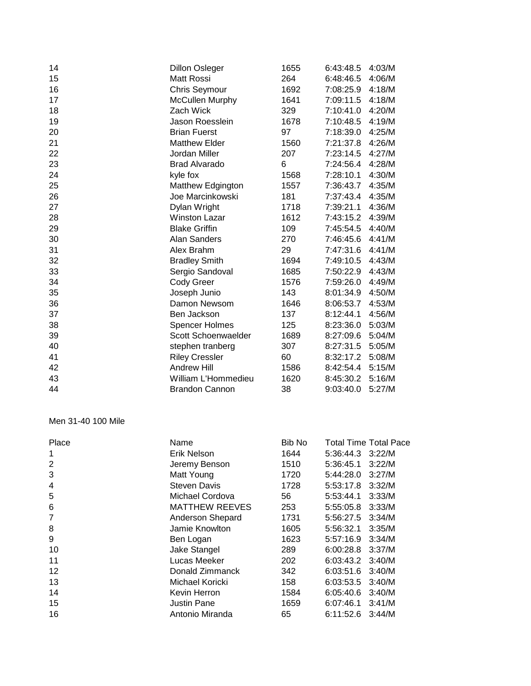| 14 | <b>Dillon Osleger</b>  | 1655 | 6:43:48.5        | 4:03/M |
|----|------------------------|------|------------------|--------|
| 15 | Matt Rossi             | 264  | 6:48:46.5        | 4:06/M |
| 16 | <b>Chris Seymour</b>   | 1692 | 7:08:25.9        | 4:18/M |
| 17 | <b>McCullen Murphy</b> | 1641 | 7:09:11.5        | 4:18/M |
| 18 | Zach Wick              | 329  | 7:10:41.0        | 4:20/M |
| 19 | Jason Roesslein        | 1678 | 7:10:48.5        | 4:19/M |
| 20 | <b>Brian Fuerst</b>    | 97   | 7:18:39.0        | 4:25/M |
| 21 | <b>Matthew Elder</b>   | 1560 | 7:21:37.8        | 4:26/M |
| 22 | Jordan Miller          | 207  | 7:23:14.5        | 4:27/M |
| 23 | <b>Brad Alvarado</b>   | 6    | 7:24:56.4        | 4:28/M |
| 24 | kyle fox               | 1568 | 7:28:10.1        | 4:30/M |
| 25 | Matthew Edgington      | 1557 | 7:36:43.7 4:35/M |        |
| 26 | Joe Marcinkowski       | 181  | 7:37:43.4        | 4:35/M |
| 27 | Dylan Wright           | 1718 | 7:39:21.1        | 4:36/M |
| 28 | <b>Winston Lazar</b>   | 1612 | 7:43:15.2        | 4:39/M |
| 29 | <b>Blake Griffin</b>   | 109  | 7:45:54.5        | 4:40/M |
| 30 | Alan Sanders           | 270  | 7:46:45.6        | 4:41/M |
| 31 | Alex Brahm             | 29   | 7:47:31.6        | 4:41/M |
| 32 | <b>Bradley Smith</b>   | 1694 | 7:49:10.5        | 4:43/M |
| 33 | Sergio Sandoval        | 1685 | 7:50:22.9        | 4:43/M |
| 34 | <b>Cody Greer</b>      | 1576 | 7:59:26.0        | 4:49/M |
| 35 | Joseph Junio           | 143  | 8:01:34.9        | 4:50/M |
| 36 | Damon Newsom           | 1646 | 8:06:53.7        | 4:53/M |
| 37 | Ben Jackson            | 137  | 8:12:44.1        | 4:56/M |
| 38 | <b>Spencer Holmes</b>  | 125  | 8:23:36.0        | 5:03/M |
| 39 | Scott Schoenwaelder    | 1689 | 8:27:09.6        | 5:04/M |
| 40 | stephen tranberg       | 307  | 8:27:31.5        | 5:05/M |
| 41 | <b>Riley Cressler</b>  | 60   | 8:32:17.2        | 5:08/M |
| 42 | <b>Andrew Hill</b>     | 1586 | 8:42:54.4 5:15/M |        |
| 43 | William L'Hommedieu    | 1620 | 8:45:30.2        | 5:16/M |
| 44 | <b>Brandon Cannon</b>  | 38   | 9:03:40.0        | 5:27/M |

# Men 31-40 100 Mile

|                       |      |                | <b>Total Time Total Pace</b> |
|-----------------------|------|----------------|------------------------------|
| Erik Nelson           | 1644 |                |                              |
| Jeremy Benson         | 1510 | 5:36:45.1      | 3:22/M                       |
| Matt Young            | 1720 | 5:44:28.0      | 3:27/M                       |
| <b>Steven Davis</b>   | 1728 | 5:53:17.8      | 3:32/M                       |
| Michael Cordova       | 56   | 5:53:44.1      | 3:33/M                       |
| <b>MATTHEW REEVES</b> | 253  | 5:55:05.8      | 3:33/M                       |
| Anderson Shepard      | 1731 | 5:56:27.5      | 3:34/M                       |
| Jamie Knowlton        | 1605 | 5:56:32.1      | 3:35/M                       |
| Ben Logan             | 1623 | 5:57:16.9      | 3:34/M                       |
| Jake Stangel          | 289  | 6:00:28.8      | 3:37/M                       |
| Lucas Meeker          | 202  | 6:03:43.2      | 3:40/M                       |
| Donald Zimmanck       | 342  | 6:03:51.6      | 3:40/M                       |
| Michael Koricki       | 158  | 6:03:53.5      | 3:40/M                       |
| Kevin Herron          | 1584 | 6:05:40.6      | 3:40/M                       |
| <b>Justin Pane</b>    | 1659 | 6:07:46.1      | 3:41/M                       |
| Antonio Miranda       | 65   | 6:11:52.6      | 3:44/M                       |
|                       |      | Bib No<br>Name | 5:36:44.3 3:22/M             |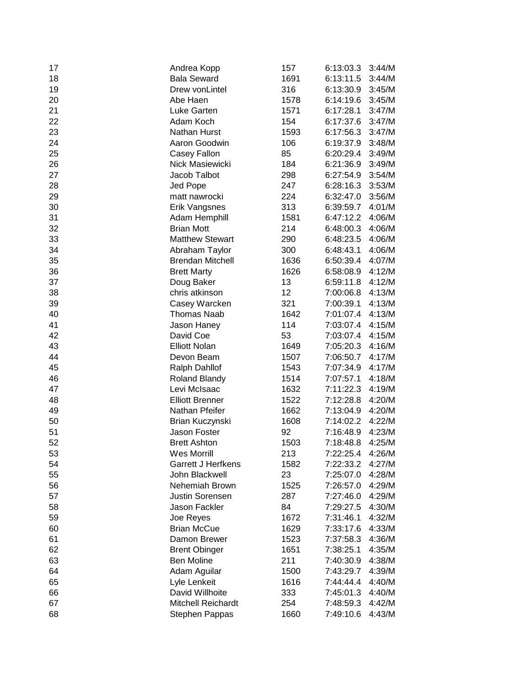| 17 | Andrea Kopp               | 157  | 6:13:03.3 | 3:44/M |
|----|---------------------------|------|-----------|--------|
| 18 | <b>Bala Seward</b>        | 1691 | 6:13:11.5 | 3:44/M |
| 19 | Drew vonLintel            | 316  | 6:13:30.9 | 3:45/M |
| 20 | Abe Haen                  | 1578 | 6:14:19.6 | 3:45/M |
| 21 | Luke Garten               | 1571 | 6:17:28.1 | 3:47/M |
| 22 | Adam Koch                 | 154  | 6:17:37.6 | 3:47/M |
| 23 | Nathan Hurst              | 1593 | 6:17:56.3 | 3:47/M |
| 24 | Aaron Goodwin             | 106  | 6:19:37.9 | 3:48/M |
| 25 | Casey Fallon              | 85   | 6:20:29.4 | 3:49/M |
| 26 | Nick Masiewicki           | 184  | 6:21:36.9 | 3:49/M |
| 27 | Jacob Talbot              | 298  | 6:27:54.9 | 3:54/M |
| 28 | Jed Pope                  | 247  | 6:28:16.3 | 3:53/M |
| 29 | matt nawrocki             | 224  | 6:32:47.0 | 3:56/M |
| 30 | Erik Vangsnes             | 313  | 6:39:59.7 | 4:01/M |
| 31 | Adam Hemphill             | 1581 | 6:47:12.2 | 4:06/M |
| 32 | <b>Brian Mott</b>         | 214  | 6:48:00.3 | 4:06/M |
| 33 | <b>Matthew Stewart</b>    | 290  | 6:48:23.5 | 4:06/M |
| 34 | Abraham Taylor            | 300  | 6:48:43.1 | 4:06/M |
| 35 | <b>Brendan Mitchell</b>   | 1636 | 6:50:39.4 | 4:07/M |
| 36 | <b>Brett Marty</b>        | 1626 | 6:58:08.9 | 4:12/M |
| 37 | Doug Baker                | 13   | 6:59:11.8 | 4:12/M |
| 38 | chris atkinson            | 12   | 7:00:06.8 | 4:13/M |
| 39 | Casey Warcken             | 321  | 7:00:39.1 | 4:13/M |
| 40 | <b>Thomas Naab</b>        | 1642 | 7:01:07.4 | 4:13/M |
| 41 | Jason Haney               | 114  | 7:03:07.4 | 4:15/M |
| 42 | David Coe                 | 53   | 7:03:07.4 | 4:15/M |
| 43 | <b>Elliott Nolan</b>      | 1649 | 7:05:20.3 | 4:16/M |
| 44 | Devon Beam                | 1507 | 7:06:50.7 | 4:17/M |
| 45 | <b>Ralph Dahllof</b>      | 1543 | 7:07:34.9 | 4:17/M |
| 46 | Roland Blandy             | 1514 | 7:07:57.1 | 4:18/M |
| 47 | Levi McIsaac              | 1632 | 7:11:22.3 | 4:19/M |
| 48 | <b>Elliott Brenner</b>    | 1522 | 7:12:28.8 | 4:20/M |
| 49 | Nathan Pfeifer            | 1662 | 7:13:04.9 | 4:20/M |
| 50 | Brian Kuczynski           | 1608 | 7:14:02.2 | 4:22/M |
| 51 | Jason Foster              | 92   | 7:16:48.9 | 4:23/M |
| 52 | <b>Brett Ashton</b>       | 1503 | 7:18:48.8 | 4:25/M |
| 53 | <b>Wes Morrill</b>        | 213  | 7:22:25.4 | 4:26/M |
| 54 | <b>Garrett J Herfkens</b> | 1582 | 7:22:33.2 | 4:27/M |
| 55 | John Blackwell            | 23   | 7:25:07.0 | 4:28/M |
| 56 | Nehemiah Brown            | 1525 | 7:26:57.0 | 4:29/M |
| 57 | Justin Sorensen           | 287  | 7:27:46.0 | 4:29/M |
| 58 | Jason Fackler             | 84   | 7:29:27.5 | 4:30/M |
| 59 | Joe Reyes                 | 1672 | 7:31:46.1 | 4:32/M |
| 60 | <b>Brian McCue</b>        | 1629 | 7:33:17.6 | 4:33/M |
| 61 | Damon Brewer              | 1523 | 7:37:58.3 | 4:36/M |
| 62 | <b>Brent Obinger</b>      | 1651 | 7:38:25.1 | 4:35/M |
| 63 | <b>Ben Moline</b>         | 211  | 7:40:30.9 | 4:38/M |
| 64 | Adam Aguilar              | 1500 | 7:43:29.7 | 4:39/M |
| 65 | Lyle Lenkeit              | 1616 | 7:44:44.4 | 4:40/M |
| 66 | David Willhoite           | 333  | 7:45:01.3 | 4:40/M |
| 67 | <b>Mitchell Reichardt</b> | 254  | 7:48:59.3 | 4:42/M |
| 68 | Stephen Pappas            | 1660 | 7:49:10.6 | 4:43/M |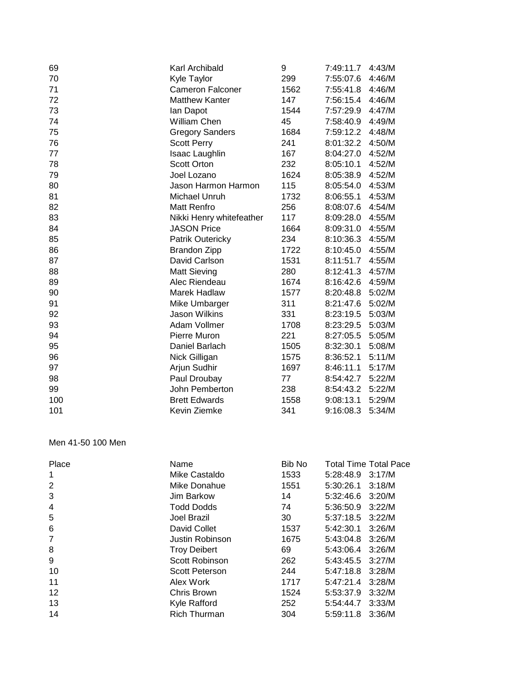| 69  | Karl Archibald           | 9    | 7:49:11.7        | 4:43/M |
|-----|--------------------------|------|------------------|--------|
| 70  | Kyle Taylor              | 299  | 7:55:07.6        | 4:46/M |
| 71  | <b>Cameron Falconer</b>  | 1562 | 7:55:41.8        | 4:46/M |
| 72  | <b>Matthew Kanter</b>    | 147  | 7:56:15.4 4:46/M |        |
| 73  | lan Dapot                | 1544 | 7:57:29.9        | 4:47/M |
| 74  | William Chen             | 45   | 7:58:40.9        | 4:49/M |
| 75  | <b>Gregory Sanders</b>   | 1684 | 7:59:12.2        | 4:48/M |
| 76  | <b>Scott Perry</b>       | 241  | 8:01:32.2        | 4:50/M |
| 77  | <b>Isaac Laughlin</b>    | 167  | 8:04:27.0        | 4:52/M |
| 78  | <b>Scott Orton</b>       | 232  | 8:05:10.1        | 4:52/M |
| 79  | Joel Lozano              | 1624 | 8:05:38.9        | 4:52/M |
| 80  | Jason Harmon Harmon      | 115  | 8:05:54.0        | 4:53/M |
| 81  | Michael Unruh            | 1732 | 8:06:55.1        | 4:53/M |
| 82  | <b>Matt Renfro</b>       | 256  | 8:08:07.6        | 4:54/M |
| 83  | Nikki Henry whitefeather | 117  | 8:09:28.0        | 4:55/M |
| 84  | <b>JASON Price</b>       | 1664 | 8:09:31.0        | 4:55/M |
| 85  | Patrik Outericky         | 234  | 8:10:36.3        | 4:55/M |
| 86  | <b>Brandon Zipp</b>      | 1722 | 8:10:45.0        | 4:55/M |
| 87  | David Carlson            | 1531 | 8:11:51.7 4:55/M |        |
| 88  | <b>Matt Sieving</b>      | 280  | 8:12:41.3        | 4:57/M |
| 89  | Alec Riendeau            | 1674 | 8:16:42.6        | 4:59/M |
| 90  | Marek Hadlaw             | 1577 | 8:20:48.8        | 5:02/M |
| 91  | Mike Umbarger            | 311  | 8:21:47.6        | 5:02/M |
| 92  | <b>Jason Wilkins</b>     | 331  | 8:23:19.5        | 5:03/M |
| 93  | Adam Vollmer             | 1708 | 8:23:29.5        | 5:03/M |
| 94  | Pierre Muron             | 221  | 8:27:05.5        | 5:05/M |
| 95  | Daniel Barlach           | 1505 | 8:32:30.1        | 5:08/M |
| 96  | Nick Gilligan            | 1575 | 8:36:52.1        | 5:11/M |
| 97  | Arjun Sudhir             | 1697 | 8:46:11.1        | 5:17/M |
| 98  | Paul Droubay             | 77   | 8:54:42.7        | 5:22/M |
| 99  | John Pemberton           | 238  | 8:54:43.2        | 5:22/M |
| 100 | <b>Brett Edwards</b>     | 1558 | 9:08:13.1        | 5:29/M |
| 101 | Kevin Ziemke             | 341  | 9:16:08.3        | 5:34/M |

# Men 41-50 100 Men

| Place          | Name                  | Bib No |                      | <b>Total Time Total Pace</b> |
|----------------|-----------------------|--------|----------------------|------------------------------|
| 1              | Mike Castaldo         | 1533   | 5:28:48.9            | 3:17/M                       |
| 2              | Mike Donahue          | 1551   | 5:30:26.1            | 3:18/M                       |
| 3              | Jim Barkow            | 14     | 5:32:46.6 3:20/M     |                              |
| $\overline{4}$ | <b>Todd Dodds</b>     | 74     | 5:36:50.9            | 3:22/M                       |
| 5              | Joel Brazil           | 30     | $5:37:18.5$ $3:22/M$ |                              |
| 6              | David Collet          | 1537   | 5:42:30.1            | 3:26/M                       |
| 7              | Justin Robinson       | 1675   | 5:43:04.8            | 3:26/M                       |
| 8              | <b>Troy Deibert</b>   | 69     | 5:43:06.4            | 3:26/M                       |
| 9              | Scott Robinson        | 262    | 5:43:45.5            | 3:27/M                       |
| 10             | <b>Scott Peterson</b> | 244    | 5:47:18.8            | 3:28/M                       |
| 11             | Alex Work             | 1717   | 5:47:21.4            | 3:28/M                       |
| 12             | Chris Brown           | 1524   | 5:53:37.9            | 3:32/M                       |
| 13             | Kyle Rafford          | 252    | 5:54:44.7            | 3:33/M                       |
| 14             | <b>Rich Thurman</b>   | 304    | 5:59:11.8            | 3:36/M                       |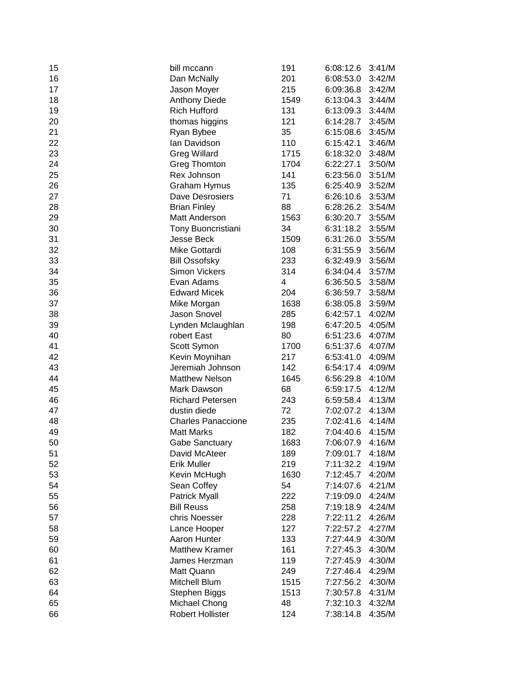| 15 | bill mccann               | 191  | 6:08:12.6 | 3:41/M |
|----|---------------------------|------|-----------|--------|
| 16 | Dan McNally               | 201  | 6:08:53.0 | 3:42/M |
| 17 | Jason Moyer               | 215  | 6:09:36.8 | 3:42/M |
| 18 | <b>Anthony Diede</b>      | 1549 | 6:13:04.3 | 3:44/M |
| 19 | <b>Rich Hufford</b>       | 131  | 6:13:09.3 | 3:44/M |
| 20 | thomas higgins            | 121  | 6:14:28.7 | 3:45/M |
| 21 | Ryan Bybee                | 35   | 6:15:08.6 | 3:45/M |
| 22 | lan Davidson              | 110  | 6:15:42.1 | 3:46/M |
| 23 | <b>Greg Willard</b>       | 1715 | 6:18:32.0 | 3:48/M |
| 24 | <b>Greg Thomton</b>       | 1704 | 6:22:27.1 | 3:50/M |
| 25 | Rex Johnson               | 141  | 6:23:56.0 | 3:51/M |
| 26 | <b>Graham Hymus</b>       | 135  | 6:25:40.9 | 3:52/M |
| 27 | Dave Desrosiers           | 71   | 6:26:10.6 | 3:53/M |
| 28 | <b>Brian Finley</b>       | 88   | 6:28:26.2 | 3:54/M |
| 29 | Matt Anderson             | 1563 | 6:30:20.7 | 3:55/M |
| 30 | Tony Buoncristiani        | 34   | 6:31:18.2 | 3:55/M |
| 31 | <b>Jesse Beck</b>         | 1509 | 6:31:26.0 | 3:55/M |
| 32 | Mike Gottardi             | 108  | 6:31:55.9 | 3:56/M |
| 33 | <b>Bill Ossofsky</b>      | 233  | 6:32:49.9 | 3:56/M |
| 34 | <b>Simon Vickers</b>      | 314  | 6:34:04.4 | 3:57/M |
| 35 | Evan Adams                | 4    | 6:36:50.5 | 3:58/M |
| 36 | <b>Edward Micek</b>       | 204  | 6:36:59.7 | 3:58/M |
| 37 | Mike Morgan               | 1638 | 6:38:05.8 | 3:59/M |
| 38 | Jason Snovel              | 285  | 6:42:57.1 | 4:02/M |
| 39 | Lynden Mclaughlan         | 198  | 6:47:20.5 | 4:05/M |
| 40 | robert East               | 80   | 6:51:23.6 | 4:07/M |
| 41 | Scott Symon               | 1700 | 6:51:37.6 | 4:07/M |
| 42 | Kevin Moynihan            | 217  | 6:53:41.0 | 4:09/M |
| 43 | Jeremiah Johnson          | 142  | 6:54:17.4 | 4:09/M |
| 44 | <b>Matthew Nelson</b>     | 1645 | 6:56:29.8 | 4:10/M |
| 45 | Mark Dawson               | 68   | 6:59:17.5 | 4:12/M |
| 46 | <b>Richard Petersen</b>   | 243  | 6:59:58.4 | 4:13/M |
| 47 | dustin diede              | 72   | 7:02:07.2 | 4:13/M |
| 48 | <b>Charles Panaccione</b> | 235  | 7:02:41.6 | 4:14/M |
| 49 | <b>Matt Marks</b>         | 182  | 7:04:40.6 | 4:15/M |
| 50 | <b>Gabe Sanctuary</b>     | 1683 | 7:06:07.9 | 4:16/M |
| 51 | David McAteer             | 189  | 7:09:01.7 | 4:18/M |
| 52 | <b>Erik Muller</b>        | 219  | 7:11:32.2 | 4:19/M |
| 53 | Kevin McHugh              | 1630 | 7:12:45.7 | 4:20/M |
| 54 | Sean Coffey               | 54   | 7:14:07.6 | 4:21/M |
| 55 | Patrick Myall             | 222  | 7:19:09.0 | 4:24/M |
| 56 | <b>Bill Reuss</b>         | 258  | 7:19:18.9 | 4:24/M |
| 57 | chris Noesser             | 228  | 7:22:11.2 | 4:26/M |
| 58 | Lance Hooper              | 127  | 7:22:57.2 | 4:27/M |
| 59 | Aaron Hunter              | 133  | 7:27:44.9 | 4:30/M |
| 60 | <b>Matthew Kramer</b>     | 161  | 7:27:45.3 | 4:30/M |
| 61 | James Herzman             | 119  | 7:27:45.9 | 4:30/M |
| 62 | Matt Quann                | 249  | 7:27:46.4 | 4:29/M |
| 63 | Mitchell Blum             | 1515 | 7:27:56.2 | 4:30/M |
| 64 | Stephen Biggs             | 1513 | 7:30:57.8 | 4:31/M |
| 65 | Michael Chong             | 48   | 7:32:10.3 | 4:32/M |
| 66 | <b>Robert Hollister</b>   | 124  | 7:38:14.8 | 4:35/M |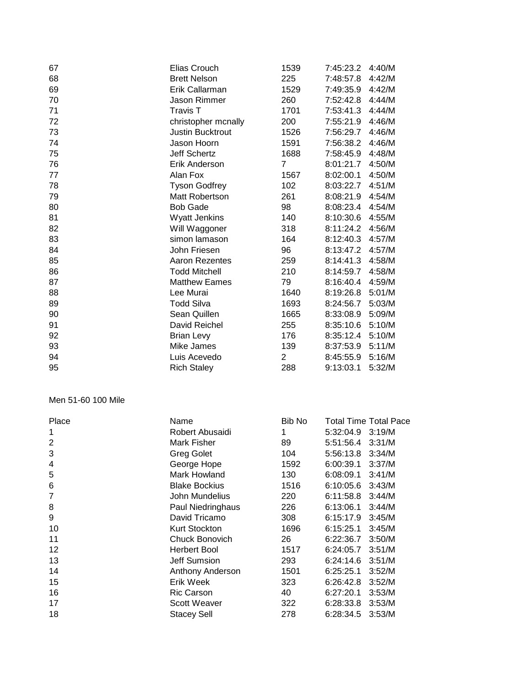| 67 | Elias Crouch            | 1539           | 7:45:23.2        | 4:40/M |
|----|-------------------------|----------------|------------------|--------|
| 68 | <b>Brett Nelson</b>     | 225            | 7:48:57.8        | 4:42/M |
| 69 | Erik Callarman          | 1529           | 7:49:35.9        | 4:42/M |
| 70 | Jason Rimmer            | 260            | 7:52:42.8        | 4:44/M |
| 71 | Travis T                | 1701           | 7:53:41.3        | 4:44/M |
| 72 | christopher mcnally     | 200            | 7:55:21.9        | 4:46/M |
| 73 | <b>Justin Bucktrout</b> | 1526           | 7:56:29.7        | 4:46/M |
| 74 | Jason Hoorn             | 1591           | 7:56:38.2        | 4:46/M |
| 75 | <b>Jeff Schertz</b>     | 1688           | 7:58:45.9        | 4:48/M |
| 76 | Erik Anderson           | $\overline{7}$ | 8:01:21.7        | 4:50/M |
| 77 | Alan Fox                | 1567           | 8:02:00.1        | 4:50/M |
| 78 | <b>Tyson Godfrey</b>    | 102            | 8:03:22.7        | 4:51/M |
| 79 | Matt Robertson          | 261            | 8:08:21.9        | 4:54/M |
| 80 | <b>Bob Gade</b>         | 98             | 8:08:23.4        | 4:54/M |
| 81 | Wyatt Jenkins           | 140            | 8:10:30.6        | 4:55/M |
| 82 | Will Waggoner           | 318            | 8:11:24.2        | 4:56/M |
| 83 | simon lamason           | 164            | 8:12:40.3        | 4:57/M |
| 84 | John Friesen            | 96             | 8:13:47.2        | 4:57/M |
| 85 | Aaron Rezentes          | 259            | 8:14:41.3        | 4:58/M |
| 86 | <b>Todd Mitchell</b>    | 210            | 8:14:59.7        | 4:58/M |
| 87 | <b>Matthew Eames</b>    | 79             | 8:16:40.4        | 4:59/M |
| 88 | Lee Murai               | 1640           | 8:19:26.8        | 5:01/M |
| 89 | <b>Todd Silva</b>       | 1693           | 8:24:56.7        | 5:03/M |
| 90 | Sean Quillen            | 1665           | 8:33:08.9 5:09/M |        |
| 91 | David Reichel           | 255            | 8:35:10.6        | 5:10/M |
| 92 | <b>Brian Levy</b>       | 176            | 8:35:12.4        | 5:10/M |
| 93 | Mike James              | 139            | 8:37:53.9        | 5:11/M |
| 94 | Luis Acevedo            | $\overline{2}$ | 8:45:55.9        | 5:16/M |
| 95 | <b>Rich Staley</b>      | 288            | 9:13:03.1        | 5:32/M |

#### Men 51-60 100 Mile

| Place          | Name                 | Bib No |                  | <b>Total Time Total Pace</b> |
|----------------|----------------------|--------|------------------|------------------------------|
|                | Robert Abusaidi      |        | 5:32:04.9 3:19/M |                              |
| $\overline{2}$ | Mark Fisher          | 89     | 5:51:56.4 3:31/M |                              |
| 3              | <b>Greg Golet</b>    | 104    | 5:56:13.8        | 3:34/M                       |
| 4              | George Hope          | 1592   | 6:00:39.1        | 3:37/M                       |
| 5              | Mark Howland         | 130    | 6:08:09.1        | 3:41/M                       |
| 6              | <b>Blake Bockius</b> | 1516   | 6:10:05.6        | 3:43/M                       |
| 7              | John Mundelius       | 220    | 6:11:58.8        | 3:44/M                       |
| 8              | Paul Niedringhaus    | 226    | 6:13:06.1        | 3:44/M                       |
| 9              | David Tricamo        | 308    | 6:15:17.9        | 3:45/M                       |
| 10             | Kurt Stockton        | 1696   | 6:15:25.1        | 3:45/M                       |
| 11             | Chuck Bonovich       | 26     | 6:22:36.7        | 3:50/M                       |
| 12             | Herbert Bool         | 1517   | 6:24:05.7        | 3:51/M                       |
| 13             | Jeff Sumsion         | 293    | 6:24:14.6        | 3:51/M                       |
| 14             | Anthony Anderson     | 1501   | 6:25:25.1        | 3:52/M                       |
| 15             | Erik Week            | 323    | 6:26:42.8        | 3:52/M                       |
| 16             | Ric Carson           | 40     | 6:27:20.1        | 3:53/M                       |
| 17             | Scott Weaver         | 322    | 6:28:33.8        | 3:53/M                       |
| 18             | <b>Stacey Sell</b>   | 278    | 6:28:34.5        | 3:53/M                       |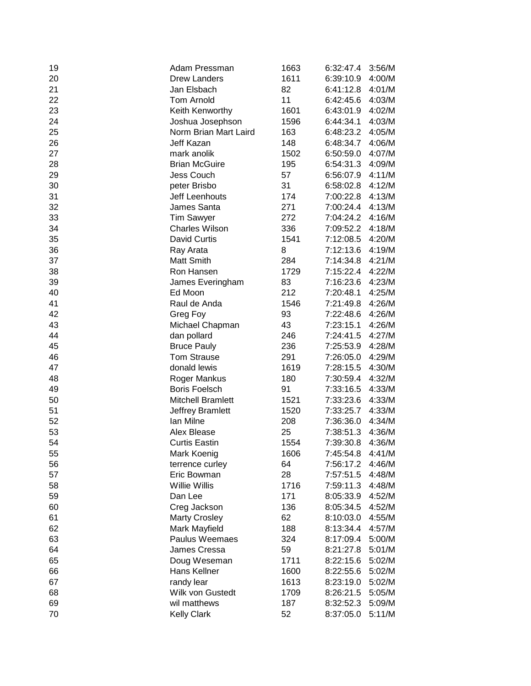| 19 | Adam Pressman            | 1663 | 6:32:47.4        | 3:56/M |
|----|--------------------------|------|------------------|--------|
| 20 | <b>Drew Landers</b>      | 1611 | 6:39:10.9        | 4:00/M |
| 21 | Jan Elsbach              | 82   | 6:41:12.8        | 4:01/M |
| 22 | <b>Tom Arnold</b>        | 11   | 6:42:45.6        | 4:03/M |
| 23 | Keith Kenworthy          | 1601 | 6:43:01.9        | 4:02/M |
| 24 | Joshua Josephson         | 1596 | 6:44:34.1        | 4:03/M |
| 25 | Norm Brian Mart Laird    | 163  | 6:48:23.2        | 4:05/M |
| 26 | Jeff Kazan               | 148  | 6:48:34.7        | 4:06/M |
| 27 | mark anolik              | 1502 | 6:50:59.0        | 4:07/M |
| 28 | <b>Brian McGuire</b>     | 195  | 6:54:31.3        | 4:09/M |
| 29 | <b>Jess Couch</b>        | 57   | 6:56:07.9        | 4:11/M |
| 30 | peter Brisbo             | 31   | 6:58:02.8 4:12/M |        |
| 31 | Jeff Leenhouts           | 174  | 7:00:22.8 4:13/M |        |
| 32 | James Santa              | 271  | 7:00:24.4 4:13/M |        |
| 33 | <b>Tim Sawyer</b>        | 272  | 7:04:24.2 4:16/M |        |
| 34 | <b>Charles Wilson</b>    | 336  | 7:09:52.2 4:18/M |        |
| 35 | <b>David Curtis</b>      | 1541 | 7:12:08.5 4:20/M |        |
| 36 | Ray Arata                | 8    | 7:12:13.6 4:19/M |        |
| 37 | Matt Smith               | 284  | 7:14:34.8        | 4:21/M |
| 38 | Ron Hansen               | 1729 | 7:15:22.4        | 4:22/M |
| 39 | James Everingham         | 83   | 7:16:23.6        | 4:23/M |
| 40 | Ed Moon                  | 212  | 7:20:48.1        | 4:25/M |
| 41 | Raul de Anda             | 1546 | 7:21:49.8        | 4:26/M |
| 42 | Greg Foy                 | 93   | 7:22:48.6        | 4:26/M |
| 43 | Michael Chapman          | 43   | 7:23:15.1        | 4:26/M |
| 44 | dan pollard              | 246  | 7:24:41.5        | 4:27/M |
| 45 | <b>Bruce Pauly</b>       | 236  | 7:25:53.9        | 4:28/M |
| 46 | <b>Tom Strause</b>       | 291  | 7:26:05.0        | 4:29/M |
| 47 | donald lewis             | 1619 | 7:28:15.5        | 4:30/M |
| 48 | Roger Mankus             | 180  | 7:30:59.4 4:32/M |        |
| 49 | <b>Boris Foelsch</b>     | 91   | 7:33:16.5 4:33/M |        |
| 50 | <b>Mitchell Bramlett</b> | 1521 | 7:33:23.6 4:33/M |        |
| 51 | Jeffrey Bramlett         | 1520 | 7:33:25.7 4:33/M |        |
| 52 | lan Milne                | 208  | 7:36:36.0 4:34/M |        |
| 53 | Alex Blease              | 25   | 7:38:51.3 4:36/M |        |
| 54 | <b>Curtis Eastin</b>     | 1554 | 7:39:30.8        | 4:36/M |
| 55 | Mark Koenig              | 1606 | 7:45:54.8 4:41/M |        |
| 56 | terrence curley          | 64   | 7:56:17.2        | 4:46/M |
| 57 | Eric Bowman              | 28   | 7:57:51.5        | 4:48/M |
| 58 | <b>Willie Willis</b>     | 1716 | 7:59:11.3        | 4:48/M |
| 59 | Dan Lee                  | 171  | 8:05:33.9        | 4:52/M |
| 60 | Creg Jackson             | 136  | 8:05:34.5        | 4:52/M |
| 61 | <b>Marty Crosley</b>     | 62   | 8:10:03.0        | 4:55/M |
| 62 | Mark Mayfield            | 188  | 8:13:34.4        | 4:57/M |
| 63 | Paulus Weemaes           | 324  | 8:17:09.4        | 5:00/M |
| 64 | James Cressa             | 59   | 8:21:27.8        | 5:01/M |
| 65 | Doug Weseman             | 1711 | 8:22:15.6        | 5:02/M |
| 66 | Hans Kellner             | 1600 | 8:22:55.6        | 5:02/M |
| 67 | randy lear               | 1613 | 8:23:19.0        | 5:02/M |
| 68 | Wilk von Gustedt         | 1709 | 8:26:21.5        | 5:05/M |
| 69 | wil matthews             | 187  | 8:32:52.3        | 5:09/M |
| 70 | <b>Kelly Clark</b>       | 52   | 8:37:05.0        | 5:11/M |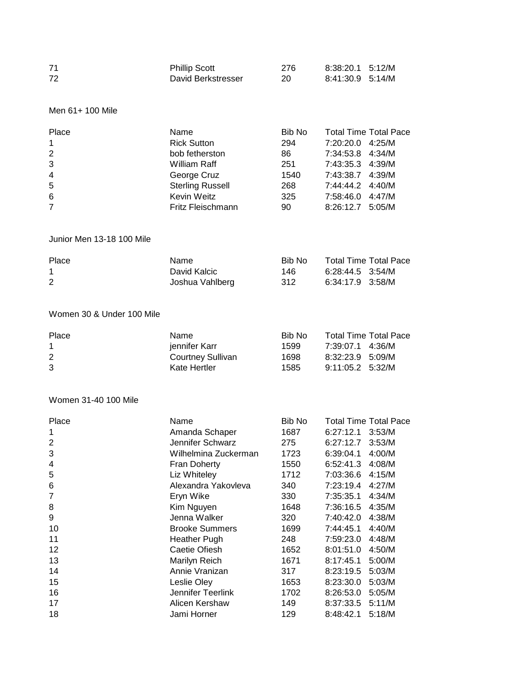| 71 | <b>Phillip Scott</b> | 276 | 8:38:20.1 5:12/M |  |
|----|----------------------|-----|------------------|--|
| 72 | David Berkstresser   | 20  | 8:41:30.9 5:14/M |  |

# Men 61+ 100 Mile

| Place          | Name                    | Bib No |                  | <b>Total Time Total Pace</b> |
|----------------|-------------------------|--------|------------------|------------------------------|
| $\mathbf{1}$   | <b>Rick Sutton</b>      | 294    | 7:20:20.0 4:25/M |                              |
| 2              | bob fetherston          | 86     | 7:34:53.8 4:34/M |                              |
| 3              | William Raff            | 251    | 7:43:35.3 4:39/M |                              |
| $\overline{4}$ | George Cruz             | 1540   | 7:43:38.7 4:39/M |                              |
| 5              | <b>Sterling Russell</b> | 268    | 7:44:44.2 4:40/M |                              |
| 6              | Kevin Weitz             | 325    | 7:58:46.0        | 4:47/M                       |
| $\overline{7}$ | Fritz Fleischmann       | 90     | 8:26:12.7 5:05/M |                              |

# Junior Men 13-18 100 Mile

| Place | Name            | Bib No | Total Time Total Pace |  |
|-------|-----------------|--------|-----------------------|--|
|       | David Kalcic    | 146.   | 6:28:44.5 3:54/M      |  |
| 2     | Joshua Vahlberg | -312   | 6:34:17.9 3:58/M      |  |

#### Women 30 & Under 100 Mile

| Place | Name.             | Bib No | Total Time Total Pace |  |
|-------|-------------------|--------|-----------------------|--|
|       | jennifer Karr     | 1599   | 7:39:07.1 4:36/M      |  |
| 2     | Courtney Sullivan | 1698   | 8:32:23.9 5:09/M      |  |
| 3     | Kate Hertler      | 1585   | $9:11:05.2$ 5:32/M    |  |

# Women 31-40 100 Mile

| Place | Name                  | Bib No |                  | <b>Total Time Total Pace</b> |
|-------|-----------------------|--------|------------------|------------------------------|
| 1     | Amanda Schaper        | 1687   | 6:27:12.1 3:53/M |                              |
| 2     | Jennifer Schwarz      | 275    | 6:27:12.7        | 3:53/M                       |
| 3     | Wilhelmina Zuckerman  | 1723   | 6:39:04.1        | 4:00/M                       |
| 4     | Fran Doherty          | 1550   | 6:52:41.3        | 4:08/M                       |
| 5     | Liz Whiteley          | 1712   | 7:03:36.6        | 4:15/M                       |
| 6     | Alexandra Yakovleva   | 340    | 7:23:19.4        | 4:27/M                       |
| 7     | Eryn Wike             | 330    | 7:35:35.1        | 4:34/M                       |
| 8     | Kim Nguyen            | 1648   | 7:36:16.5        | 4:35/M                       |
| 9     | Jenna Walker          | 320    | 7:40:42.0        | 4:38/M                       |
| 10    | <b>Brooke Summers</b> | 1699   | 7:44:45.1        | 4:40/M                       |
| 11    | <b>Heather Pugh</b>   | 248    | 7:59:23.0        | 4:48/M                       |
| 12    | Caetie Ofiesh         | 1652   | 8:01:51.0        | 4:50/M                       |
| 13    | Marilyn Reich         | 1671   | 8:17:45.1        | 5:00/M                       |
| 14    | Annie Vranizan        | 317    | 8:23:19.5        | 5:03/M                       |
| 15    | Leslie Oley           | 1653   | 8:23:30.0        | 5:03/M                       |
| 16    | Jennifer Teerlink     | 1702   | 8:26:53.0        | 5:05/M                       |
| 17    | Alicen Kershaw        | 149    | 8:37:33.5        | 5:11/M                       |
| 18    | Jami Horner           | 129    | 8:48:42.1        | 5:18/M                       |